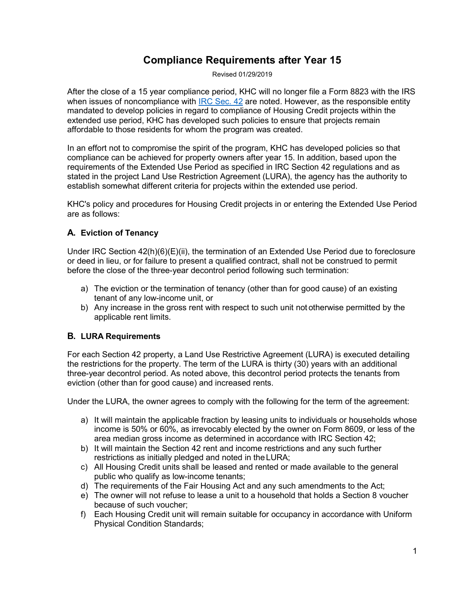# **Compliance Requirements after Year 15**

Revised 01/29/2019

After the close of a 15 year compliance period, KHC will no longer file a Form 8823 with the IRS when issues of noncompliance with [IRC Sec. 42](https://www.irs.gov/pub/irs-drop/rr-04-82.pdf) are noted. However, as the responsible entity mandated to develop policies in regard to compliance of Housing Credit projects within the extended use period, KHC has developed such policies to ensure that projects remain affordable to those residents for whom the program was created.

In an effort not to compromise the spirit of the program, KHC has developed policies so that compliance can be achieved for property owners after year 15. In addition, based upon the requirements of the Extended Use Period as specified in IRC Section 42 regulations and as stated in the project Land Use Restriction Agreement (LURA), the agency has the authority to establish somewhat different criteria for projects within the extended use period.

KHC's policy and procedures for Housing Credit projects in or entering the Extended Use Period are as follows:

## **A. Eviction of Tenancy**

Under IRC Section 42(h)(6)(E)(ii), the termination of an Extended Use Period due to foreclosure or deed in lieu, or for failure to present a qualified contract, shall not be construed to permit before the close of the three-year decontrol period following such termination:

- a) The eviction or the termination of tenancy (other than for good cause) of an existing tenant of any low-income unit, or
- b) Any increase in the gross rent with respect to such unit not otherwise permitted by the applicable rent limits.

## **B. LURA Requirements**

For each Section 42 property, a Land Use Restrictive Agreement (LURA) is executed detailing the restrictions for the property. The term of the LURA is thirty (30) years with an additional three-year decontrol period. As noted above, this decontrol period protects the tenants from eviction (other than for good cause) and increased rents.

Under the LURA, the owner agrees to comply with the following for the term of the agreement:

- a) It will maintain the applicable fraction by leasing units to individuals or households whose income is 50% or 60%, as irrevocably elected by the owner on Form 8609, or less of the area median gross income as determined in accordance with IRC Section 42;
- b) It will maintain the Section 42 rent and income restrictions and any such further restrictions as initially pledged and noted in the LURA;
- c) All Housing Credit units shall be leased and rented or made available to the general public who qualify as low-income tenants;
- d) The requirements of the Fair Housing Act and any such amendments to the Act;
- e) The owner will not refuse to lease a unit to a household that holds a Section 8 voucher because of such voucher;
- f) Each Housing Credit unit will remain suitable for occupancy in accordance with Uniform Physical Condition Standards;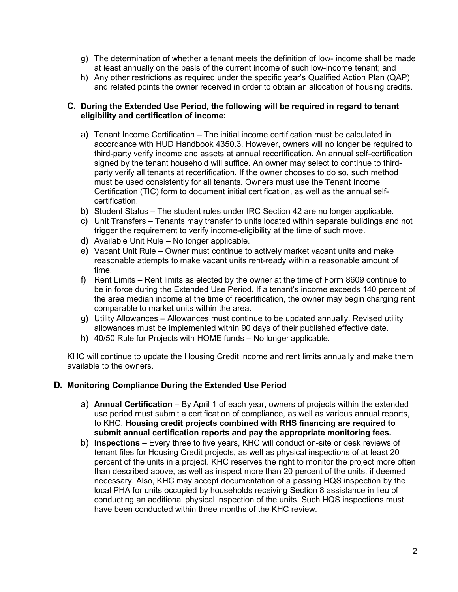- g) The determination of whether a tenant meets the definition of low- income shall be made at least annually on the basis of the current income of such low-income tenant; and
- h) Any other restrictions as required under the specific year's Qualified Action Plan (QAP) and related points the owner received in order to obtain an allocation of housing credits.

#### **C. During the Extended Use Period, the following will be required in regard to tenant eligibility and certification of income:**

- a) Tenant Income Certification The initial income certification must be calculated in accordance with HUD Handbook 4350.3. However, owners will no longer be required to third-party verify income and assets at annual recertification. An annual self-certification signed by the tenant household will suffice. An owner may select to continue to thirdparty verify all tenants at recertification. If the owner chooses to do so, such method must be used consistently for all tenants. Owners must use the Tenant Income Certification (TIC) form to document initial certification, as well as the annual selfcertification.
- b) Student Status The student rules under IRC Section 42 are no longer applicable.
- c) Unit Transfers Tenants may transfer to units located within separate buildings and not trigger the requirement to verify income-eligibility at the time of such move.
- d) Available Unit Rule No longer applicable.
- e) Vacant Unit Rule Owner must continue to actively market vacant units and make reasonable attempts to make vacant units rent-ready within a reasonable amount of time.
- f) Rent Limits Rent limits as elected by the owner at the time of Form 8609 continue to be in force during the Extended Use Period. If a tenant's income exceeds 140 percent of the area median income at the time of recertification, the owner may begin charging rent comparable to market units within the area.
- g) Utility Allowances Allowances must continue to be updated annually. Revised utility allowances must be implemented within 90 days of their published effective date.
- h) 40/50 Rule for Projects with HOME funds No longer applicable.

KHC will continue to update the Housing Credit income and rent limits annually and make them available to the owners.

#### **D. Monitoring Compliance During the Extended Use Period**

- a) **Annual Certification** By April 1 of each year, owners of projects within the extended use period must submit a certification of compliance, as well as various annual reports, to KHC. **Housing credit projects combined with RHS financing are required to submit annual certification reports and pay the appropriate monitoring fees.**
- b) **Inspections** Every three to five years, KHC will conduct on-site or desk reviews of tenant files for Housing Credit projects, as well as physical inspections of at least 20 percent of the units in a project. KHC reserves the right to monitor the project more often than described above, as well as inspect more than 20 percent of the units, if deemed necessary. Also, KHC may accept documentation of a passing HQS inspection by the local PHA for units occupied by households receiving Section 8 assistance in lieu of conducting an additional physical inspection of the units. Such HQS inspections must have been conducted within three months of the KHC review.